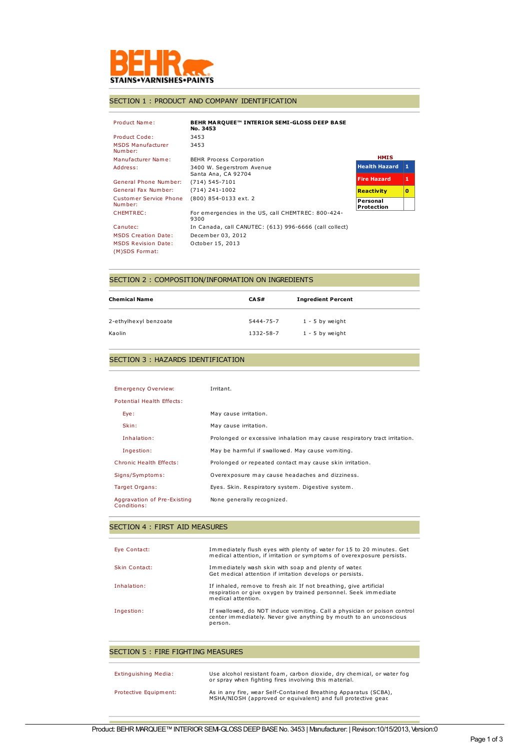

## SECTION 1 : PRODUCT AND COMPANY IDENTIFICATION

| Product Name:                                | BEHR MARQUEE™ INTERIOR SEMI-GLOSS DEEP BASE<br>No. 3453    |                        |    |
|----------------------------------------------|------------------------------------------------------------|------------------------|----|
| Product Code:                                | 3453                                                       |                        |    |
| <b>MSDS Manufacturer</b><br>Number:          | 3453                                                       |                        |    |
| Manufacturer Name:                           | <b>BEHR Process Corporation</b>                            | <b>HMIS</b>            |    |
| Address:                                     | 3400 W. Segerstrom Avenue<br>Santa Ana, CA 92704           | <b>Health Hazard</b>   | 11 |
| General Phone Number:                        | (714) 545-7101                                             | <b>Fire Hazard</b>     | 11 |
| General Fax Number:                          | $(714)$ 241-1002                                           | <b>Reactivity</b>      | o  |
| Customer Service Phone<br>Number:            | (800) 854-0133 ext. 2                                      | Personal<br>Protection |    |
| <b>CHEMTREC:</b>                             | For emergencies in the US, call CHEMTREC: 800-424-<br>9300 |                        |    |
| Canutec:                                     | In Canada, call CANUTEC: (613) 996-6666 (call collect)     |                        |    |
| <b>MSDS Creation Date:</b>                   | December 03, 2012                                          |                        |    |
| <b>MSDS Revision Date:</b><br>(M)SDS Format: | October 15, 2013                                           |                        |    |

### SECTION 2 : COMPOSITION/INFORMATION ON INGREDIENTS

| Chemical Name         | CA S#     | <b>Ingredient Percent</b> |
|-----------------------|-----------|---------------------------|
| 2-ethylhexyl benzoate | 5444-75-7 | $1 - 5$ by weight         |
| Kaolin                | 1332-58-7 | 1 - 5 by weight           |

## SECTION 3 : HAZARDS IDENTIFICATION

| Emergency Overview:                        | Irritant.                                                                 |
|--------------------------------------------|---------------------------------------------------------------------------|
| Potential Health Effects:                  |                                                                           |
| Eye:                                       | May cause irritation.                                                     |
| Skin:                                      | May cause irritation.                                                     |
| Inhalation:                                | Prolonged or excessive inhalation may cause respiratory tract irritation. |
| Ingestion:                                 | May be harmful if swallowed. May cause vomiting.                          |
| Chronic Health Effects:                    | Prolonged or repeated contact may cause skin irritation.                  |
| Signs/Symptoms:                            | Overexposure may cause headaches and dizziness.                           |
| Target Organs:                             | Eyes. Skin. Respiratory system. Digestive system.                         |
| Aggravation of Pre-Existing<br>Conditions: | None generally recognized.                                                |

#### SECTION 4 : FIRST AID MEASURES

| Eve Contact:  | Immediately flush eyes with plenty of water for 15 to 20 minutes. Get<br>medical attention, if irritation or symptoms of overexposure persists.             |
|---------------|-------------------------------------------------------------------------------------------------------------------------------------------------------------|
| Skin Contact: | Immediately wash skin with soap and plenty of water.<br>Get medical attention if irritation develops or persists.                                           |
| Inhalation:   | If inhaled, remove to fresh air. If not breathing, give artificial<br>respiration or give oxygen by trained personnel. Seek immediate<br>medical attention. |
| Ingestion:    | If swallowed, do NOT induce vomiting. Call a physician or poison control<br>center immediately. Never give anything by mouth to an unconscious<br>person.   |

#### SECTION 5 : FIRE FIGHTING MEASURES

| Extinguishing Media:  | Use alcohol resistant foam, carbon dioxide, dry chemical, or water fog<br>or spray when fighting fires involving this material.  |
|-----------------------|----------------------------------------------------------------------------------------------------------------------------------|
| Protective Equipment: | As in any fire, wear Self-Contained Breathing Apparatus (SCBA),<br>MSHA/NIOSH (approved or equivalent) and full protective gear. |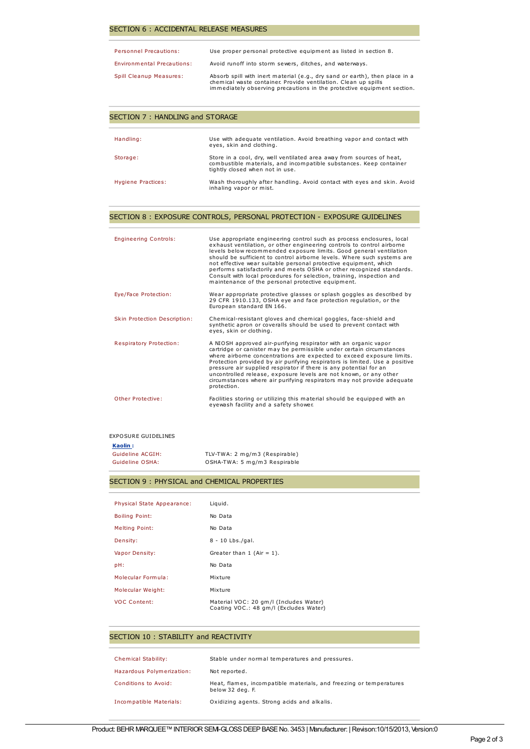#### SECTION 6 : ACCIDENTAL RELEASE MEASURES

| <b>Personnel Precautions:</b>  | Use proper personal protective equipment as listed in section 8.                                                                                                                                                        |
|--------------------------------|-------------------------------------------------------------------------------------------------------------------------------------------------------------------------------------------------------------------------|
| Environmental Precautions:     | Avoid runoff into storm sewers, ditches, and waterways.                                                                                                                                                                 |
| <b>Spill Cleanup Measures:</b> | Absorb spill with inert material (e.g., dry sand or earth), then place in a<br>chemical waste container. Provide ventilation. Clean up spills<br>immediately observing precautions in the protective equipment section. |

#### SECTION 7 : HANDLING and STORAGE

| Handling:          | Use with adequate ventilation. Avoid breathing vapor and contact with<br>eyes, skin and clothing.                                                                              |
|--------------------|--------------------------------------------------------------------------------------------------------------------------------------------------------------------------------|
| Storage:           | Store in a cool, dry, well ventilated area away from sources of heat,<br>combustible materials, and incompatible substances. Keep container<br>tightly closed when not in use. |
| Hygiene Practices: | Wash thoroughly after handling. Avoid contact with eyes and skin. Avoid<br>inhaling vapor or mist.                                                                             |

#### SECTION 8 : EXPOSURE CONTROLS, PERSONAL PROTECTION - EXPOSURE GUIDELINES

| <b>Engineering Controls:</b>   | Use appropriate engineering control such as process enclosures, local<br>exhaust ventilation, or other engineering controls to control airborne<br>levels below recommended exposure limits. Good general ventilation<br>should be sufficient to control airborne levels. Where such systems are<br>not effective wear suitable personal protective equipment, which<br>performs satisfactorily and meets OSHA or other recognized standards.<br>Consult with local procedures for selection, training, inspection and<br>maintenance of the personal protective equipment. |
|--------------------------------|-----------------------------------------------------------------------------------------------------------------------------------------------------------------------------------------------------------------------------------------------------------------------------------------------------------------------------------------------------------------------------------------------------------------------------------------------------------------------------------------------------------------------------------------------------------------------------|
| Eye/Face Protection:           | Wear appropriate protective glasses or splash goggles as described by<br>29 CFR 1910.133, OSHA eye and face protection regulation, or the<br>European standard EN 166.                                                                                                                                                                                                                                                                                                                                                                                                      |
| Skin Protection Description:   | Chemical-resistant gloves and chemical goggles, face-shield and<br>synthetic apron or coveralls should be used to prevent contact with<br>eyes, skin or clothing.                                                                                                                                                                                                                                                                                                                                                                                                           |
| <b>Respiratory Protection:</b> | A NIOSH approved air-purifying respirator with an organic vapor<br>cartridge or canister may be permissible under certain circumstances<br>where airborne concentrations are expected to exceed exposure limits.<br>Protection provided by air purifying respirators is limited. Use a positive<br>pressure air supplied respirator if there is any potential for an<br>uncontrolled release, exposure levels are not known, or any other<br>circumstances where air purifying respirators may not provide adequate<br>protection.                                          |
| Other Protective:              | Facilities storing or utilizing this material should be equipped with an<br>evewash facility and a safety shower.                                                                                                                                                                                                                                                                                                                                                                                                                                                           |

#### EXPOSURE GUIDELINES

**Kaolin :**

| Guideline ACGIH: | TLV-TWA: 2 mg/m3 (Respirable) |
|------------------|-------------------------------|
| Guideline OSHA:  | OSHA-TWA: 5 mg/m3 Respirable  |

## SECTION 9 : PHYSICAL and CHEMICAL PROPERTIES

| Physical State Appearance: | Liquid.                                                                          |
|----------------------------|----------------------------------------------------------------------------------|
| <b>Boiling Point:</b>      | No Data                                                                          |
| <b>Melting Point:</b>      | No Data                                                                          |
| Density:                   | 8 - 10 Lbs./gal.                                                                 |
| Vapor Density:             | Greater than $1$ (Air = 1).                                                      |
| pH:                        | No Data                                                                          |
| Molecular Formula:         | Mixture                                                                          |
| Molecular Weight:          | Mixture                                                                          |
| <b>VOC Content:</b>        | Material VOC: 20 gm/l (Includes Water)<br>Coating VOC.: 48 gm/l (Excludes Water) |

#### SECTION 10 : STABILITY and REACTIVITY

| <b>Chemical Stability:</b> | Stable under normal temperatures and pressures.                                        |
|----------------------------|----------------------------------------------------------------------------------------|
| Hazardous Polymerization:  | Not reported.                                                                          |
| Conditions to Avoid:       | Heat, flames, incompatible materials, and freezing or temperatures<br>below 32 deg. F. |
| Incompatible Materials:    | Oxidizing agents. Strong acids and alkalis.                                            |